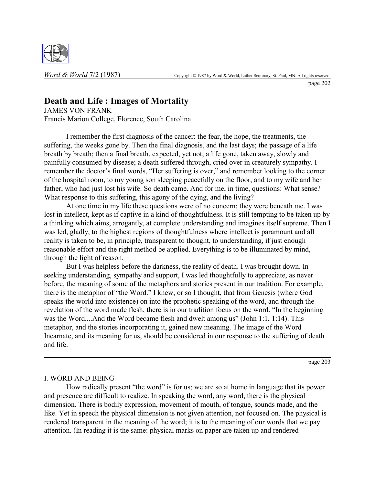

page 202

## **Death and Life : Images of Mortality**

JAMES VON FRANK Francis Marion College, Florence, South Carolina

I remember the first diagnosis of the cancer: the fear, the hope, the treatments, the suffering, the weeks gone by. Then the final diagnosis, and the last days; the passage of a life breath by breath; then a final breath, expected, yet not; a life gone, taken away, slowly and painfully consumed by disease; a death suffered through, cried over in creaturely sympathy. I remember the doctor's final words, "Her suffering is over," and remember looking to the corner of the hospital room, to my young son sleeping peacefully on the floor, and to my wife and her father, who had just lost his wife. So death came. And for me, in time, questions: What sense? What response to this suffering, this agony of the dying, and the living?

At one time in my life these questions were of no concern; they were beneath me. I was lost in intellect, kept as if captive in a kind of thoughtfulness. It is still tempting to be taken up by a thinking which aims, arrogantly, at complete understanding and imagines itself supreme. Then I was led, gladly, to the highest regions of thoughtfulness where intellect is paramount and all reality is taken to be, in principle, transparent to thought, to understanding, if just enough reasonable effort and the right method be applied. Everything is to be illuminated by mind, through the light of reason.

But I was helpless before the darkness, the reality of death. I was brought down. In seeking understanding, sympathy and support, I was led thoughtfully to appreciate, as never before, the meaning of some of the metaphors and stories present in our tradition. For example, there is the metaphor of "the Word." I knew, or so I thought, that from Genesis (where God speaks the world into existence) on into the prophetic speaking of the word, and through the revelation of the word made flesh, there is in our tradition focus on the word. "In the beginning was the Word....And the Word became flesh and dwelt among us" (John 1:1, 1:14). This metaphor, and the stories incorporating it, gained new meaning. The image of the Word Incarnate, and its meaning for us, should be considered in our response to the suffering of death and life.

page 203

## I. WORD AND BEING

How radically present "the word" is for us; we are so at home in language that its power and presence are difficult to realize. In speaking the word, any word, there is the physical dimension. There is bodily expression, movement of mouth, of tongue, sounds made, and the like. Yet in speech the physical dimension is not given attention, not focused on. The physical is rendered transparent in the meaning of the word; it is to the meaning of our words that we pay attention. (In reading it is the same: physical marks on paper are taken up and rendered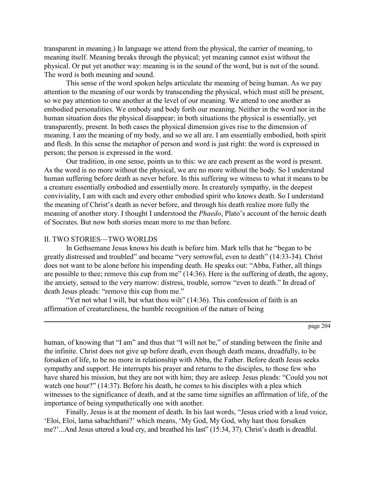transparent in meaning.) In language we attend from the physical, the carrier of meaning, to meaning itself. Meaning breaks through the physical; yet meaning cannot exist without the physical. Or put yet another way: meaning is in the sound of the word, but is not of the sound. The word is both meaning and sound.

This sense of the word spoken helps articulate the meaning of being human. As we pay attention to the meaning of our words by transcending the physical, which must still be present, so we pay attention to one another at the level of our meaning. We attend to one another as embodied personalities. We embody and body forth our meaning. Neither in the word nor in the human situation does the physical disappear; in both situations the physical is essentially, yet transparently, present. In both cases the physical dimension gives rise to the dimension of meaning. I am the meaning of my body, and so we all are. I am essentially embodied, both spirit and flesh. In this sense the metaphor of person and word is just right: the word is expressed in person; the person is expressed in the word.

Our tradition, in one sense, points us to this: we are each present as the word is present. As the word is no more without the physical, we are no more without the body. So I understand human suffering before death as never before. In this suffering we witness to what it means to be a creature essentially embodied and essentially more. In creaturely sympathy, in the deepest conviviality, I am with each and every other embodied spirit who knows death. So I understand the meaning of Christ's death as never before, and through his death realize more fully the meaning of another story. I thought I understood the *Phaedo*, Plato's account of the heroic death of Socrates. But now both stories mean more to me than before.

## II. TWO STORIES—TWO WORLDS

In Gethsemane Jesus knows his death is before him. Mark tells that he "began to be greatly distressed and troubled" and became "very sorrowful, even to death" (14:33-34). Christ does not want to be alone before his impending death. He speaks out: "Abba, Father, all things are possible to thee; remove this cup from me"  $(14:36)$ . Here is the suffering of death, the agony, the anxiety, sensed to the very marrow: distress, trouble, sorrow "even to death." In dread of death Jesus pleads: "remove this cup from me."

"Yet not what I will, but what thou wilt"  $(14:36)$ . This confession of faith is an affirmation of creatureliness, the humble recognition of the nature of being

human, of knowing that "I am" and thus that "I will not be," of standing between the finite and the infinite. Christ does not give up before death, even though death means, dreadfully, to be forsaken of life, to be no more in relationship with Abba, the Father. Before death Jesus seeks sympathy and support. He interrupts his prayer and returns to the disciples, to those few who have shared his mission, but they are not with him; they are asleep. Jesus pleads: "Could you not watch one hour?" (14:37). Before his death, he comes to his disciples with a plea which witnesses to the significance of death, and at the same time signifies an affirmation of life, of the importance of being sympathetically one with another.

Finally, Jesus is at the moment of death. In his last words, "Jesus cried with a loud voice, ëEloi, Eloi, lama sabachthani?í which means, ëMy God, My God, why hast thou forsaken me?'...And Jesus uttered a loud cry, and breathed his last" (15:34, 37). Christ's death is dreadful.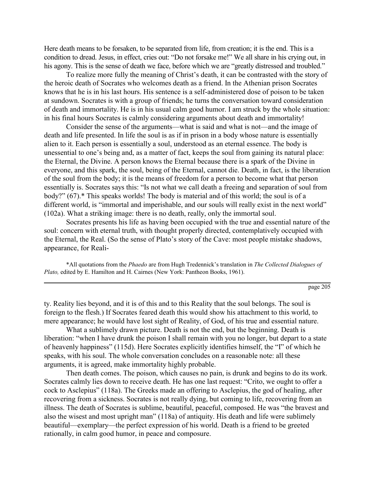Here death means to be forsaken, to be separated from life, from creation; it is the end. This is a condition to dread. Jesus, in effect, cries out: "Do not forsake me!" We all share in his crying out, in his agony. This is the sense of death we face, before which we are "greatly distressed and troubled."

To realize more fully the meaning of Christ's death, it can be contrasted with the story of the heroic death of Socrates who welcomes death as a friend. In the Athenian prison Socrates knows that he is in his last hours. His sentence is a self-administered dose of poison to be taken at sundown. Socrates is with a group of friends; he turns the conversation toward consideration of death and immortality. He is in his usual calm good humor. I am struck by the whole situation: in his final hours Socrates is calmly considering arguments about death and immortality!

Consider the sense of the arguments—what is said and what is not—and the image of death and life presented. In life the soul is as if in prison in a body whose nature is essentially alien to it. Each person is essentially a soul, understood as an eternal essence. The body is unessential to one's being and, as a matter of fact, keeps the soul from gaining its natural place: the Eternal, the Divine. A person knows the Eternal because there is a spark of the Divine in everyone, and this spark, the soul, being of the Eternal, cannot die. Death, in fact, is the liberation of the soul from the body; it is the means of freedom for a person to become what that person essentially is. Socrates says this: "Is not what we call death a freeing and separation of soul from body?" (67).\* This speaks worlds! The body is material and of this world; the soul is of a different world, is "immortal and imperishable, and our souls will really exist in the next world" (102a). What a striking image: there is no death, really, only the immortal soul.

Socrates presents his life as having been occupied with the true and essential nature of the soul: concern with eternal truth, with thought properly directed, contemplatively occupied with the Eternal, the Real. (So the sense of Plato's story of the Cave: most people mistake shadows, appearance, for Reali-

\*All quotations from the *Phaedo* are from Hugh Tredennickís translation in *The Collected Dialogues of Plato, edited by E. Hamilton and H. Cairnes (New York: Pantheon Books, 1961).* 

page 205

ty. Reality lies beyond, and it is of this and to this Reality that the soul belongs. The soul is foreign to the flesh.) If Socrates feared death this would show his attachment to this world, to mere appearance; he would have lost sight of Reality, of God, of his true and essential nature.

What a sublimely drawn picture. Death is not the end, but the beginning. Death is liberation: "when I have drunk the poison I shall remain with you no longer, but depart to a state of heavenly happiness" (115d). Here Socrates explicitly identifies himself, the "I" of which he speaks, with his soul. The whole conversation concludes on a reasonable note: all these arguments, it is agreed, make immortality highly probable.

Then death comes. The poison, which causes no pain, is drunk and begins to do its work. Socrates calmly lies down to receive death. He has one last request: "Crito, we ought to offer a cock to Asclepius" (118a). The Greeks made an offering to Asclepius, the god of healing, after recovering from a sickness. Socrates is not really dying, but coming to life, recovering from an illness. The death of Socrates is sublime, beautiful, peaceful, composed. He was "the bravest and also the wisest and most upright man" (118a) of antiquity. His death and life were sublimely beautiful—exemplary—the perfect expression of his world. Death is a friend to be greeted rationally, in calm good humor, in peace and composure.